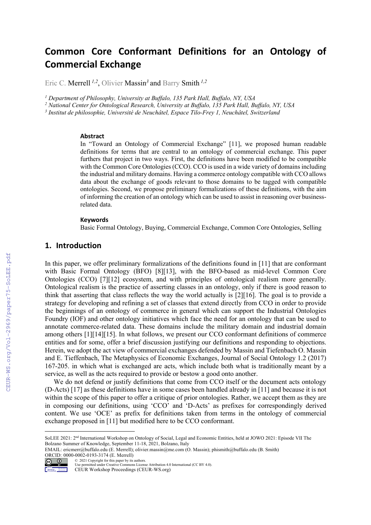# **Common Core Conformant Definitions for an Ontology of Commercial Exchange**

Eric C. Merrell *1,2*, Olivier Massin*<sup>3</sup>* and Barry Smith *1,2*

*<sup>1</sup> Department of Philosophy, University at Buffalo, 135 Park Hall, Buffalo, NY, USA* 

*<sup>2</sup> National Center for Ontological Research, University at Buffalo, 135 Park Hall, Buffalo, NY, USA*

*<sup>3</sup> Institut de philosophie, Université de Neuchâtel, Espace Tilo-Frey 1, Neuchâtel, Switzerland*

#### **Abstract**

In "Toward an Ontology of Commercial Exchange" [11], we proposed human readable definitions for terms that are central to an ontology of commercial exchange. This paper furthers that project in two ways. First, the definitions have been modified to be compatible with the Common Core Ontologies (CCO). CCO is used in a wide variety of domains including the industrial and military domains. Having a commerce ontology compatible with CCO allows data about the exchange of goods relevant to those domains to be tagged with compatible ontologies. Second, we propose preliminary formalizations of these definitions, with the aim of informing the creation of an ontology which can be used to assist in reasoning over businessrelated data.

#### **Keywords**

Basic Formal Ontology, Buying, Commercial Exchange, Common Core Ontologies, Selling

#### **1. Introduction**

In this paper, we offer preliminary formalizations of the definitions found in [11] that are conformant with Basic Formal Ontology (BFO) [8][13], with the BFO-based as mid-level Common Core Ontologies (CCO) [7][12] ecosystem, and with principles of ontological realism more generally. Ontological realism is the practice of asserting classes in an ontology, only if there is good reason to think that asserting that class reflects the way the world actually is [2][16]. The goal is to provide a strategy for developing and refining a set of classes that extend directly from CCO in order to provide the beginnings of an ontology of commerce in general which can support the Industrial Ontologies Foundry (IOF) and other ontology initiatives which face the need for an ontology that can be used to annotate commerce-related data. These domains include the military domain and industrial domain among others [1][14][15]. In what follows, we present our CCO conformant definitions of commerce entities and for some, offer a brief discussion justifying our definitions and responding to objections. Herein, we adopt the act view of commercial exchanges defended by Massin and Tiefenbach O. Massin and E. Tieffenbach, The Metaphysics of Economic Exchanges, Journal of Social Ontology 1.2 (2017) 167-205. in which what is exchanged are acts, which include both what is traditionally meant by a service, as well as the acts required to provide or bestow a good onto another.

We do not defend or justify definitions that come from CCO itself or the document acts ontology (D-Acts) [17] as these definitions have in some cases been handled already in [11] and because it is not within the scope of this paper to offer a critique of prior ontologies. Rather, we accept them as they are in composing our definitions, using 'CCO' and 'D-Acts' as prefixes for correspondingly derived content. We use 'OCE' as prefix for definitions taken from terms in the ontology of commercial exchange proposed in [11] but modified here to be CCO conformant.

EMAIL: ericmerr@buffalo.edu (E. Merrell); olivier.massin@me.com (O. Massin); phismith@buffalo.edu (B. Smith) ORCID: 0000-0002-0193-3174 (E. Merrell)



© 2021 Copyright for this paper by its authors. Use permitted under Creative Commons License Attribution 4.0 International (CC BY 4.0). CEUR Workshop Proceedings (CEUR-WS.org)

SoLEE 2021: 2<sup>nd</sup> International Workshop on Ontology of Social, Legal and Economic Entities, held at JOWO 2021: Episode VII The Bolzano Summer of Knowledge, September 11-18, 2021, Bolzano, Italy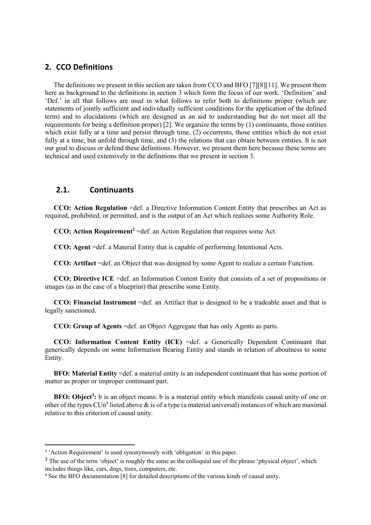## **2. CCO Definitions**

The definitions we present in this section are taken from CCO and BFO [7][8][11]. We present them here as background to the definitions in section 3 which form the focus of our work. 'Definition' and 'Def.' in all that follows are used in what follows to refer both to definitions proper (which are statements of jointly sufficient and individually sufficient conditions for the application of the defined term) and to elucidations (which are designed as an aid to understanding but do not meet all the requirements for being a definition proper) [2]. We organize the terms by (1) continuants, those entities which exist fully at a time and persist through time, (2) occurrents, those entities which do not exist fully at a time, but unfold through time, and (3) the relations that can obtain between entities. It is not our goal to discuss or defend these definitions. However, we present them here because these terms are technical and used extensively in the definitions that we present in section 3.

# **2.1. Continuants**

**CCO: Action Regulation** =def. a Directive Information Content Entity that prescribes an Act as required, prohibited, or permitted, and is the output of an Act which realizes some Authority Role.

**CCO: Action Requirement<sup>2</sup>** =def. an Action Regulation that requires some Act.

**CCO: Agent** =def. a Material Entity that is capable of performing Intentional Acts.

**CCO: Artifact** =def. an Object that was designed by some Agent to realize a certain Function.

**CCO: Directive ICE** =def. an Information Content Entity that consists of a set of propositions or images (as in the case of a blueprint) that prescribe some Entity.

**CCO: Financial Instrument** =def. an Artifact that is designed to be a tradeable asset and that is legally sanctioned.

**CCO: Group of Agents** =def. an Object Aggregate that has only Agents as parts.

**CCO: Information Content Entity (ICE)** =def. a Generically Dependent Continuant that generically depends on some Information Bearing Entity and stands in relation of aboutness to some Entity.

**BFO: Material Entity** =def. a material entity is an independent continuant that has some portion of matter as proper or improper continuant part.

**BFO: Object<sup>3</sup>:** b is an object means: b is a material entity which manifests causal unity of one or other of the types CUn<sup>4</sup> listed above  $\&$  is of a type (a material universal) instances of which are maximal relative to this criterion of causal unity.

<sup>&</sup>lt;sup>2</sup> 'Action Requirement' is used synonymously with 'obligation' in this paper.

<sup>&</sup>lt;sup>3</sup> The use of the term 'object' is roughly the same as the colloquial use of the phrase 'physical object', which includes things like, cars, dogs, trees, computers, etc.

<sup>4</sup> See the BFO documentation [8] for detailed descriptions of the various kinds of causal unity.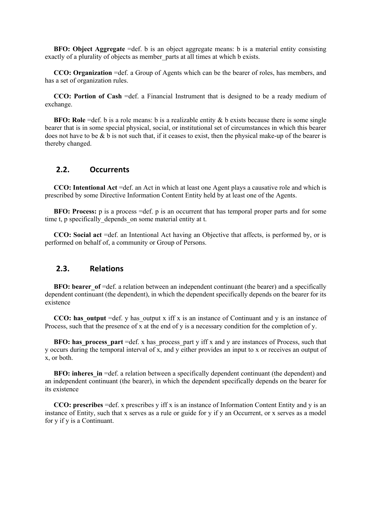**BFO: Object Aggregate** =def. b is an object aggregate means: b is a material entity consisting exactly of a plurality of objects as member parts at all times at which b exists.

**CCO: Organization** =def. a Group of Agents which can be the bearer of roles, has members, and has a set of organization rules.

**CCO: Portion of Cash** =def. a Financial Instrument that is designed to be a ready medium of exchange.

**BFO: Role** =def. b is a role means: b is a realizable entity & b exists because there is some single bearer that is in some special physical, social, or institutional set of circumstances in which this bearer does not have to be  $\&$  b is not such that, if it ceases to exist, then the physical make-up of the bearer is thereby changed.

# **2.2. Occurrents**

**CCO: Intentional Act** =def. an Act in which at least one Agent plays a causative role and which is prescribed by some Directive Information Content Entity held by at least one of the Agents.

**BFO: Process:** p is a process =def. p is an occurrent that has temporal proper parts and for some time t, p specifically depends on some material entity at t.

**CCO: Social act** =def. an Intentional Act having an Objective that affects, is performed by, or is performed on behalf of, a community or Group of Persons.

#### **2.3. Relations**

**BFO: bearer** of  $=$ def. a relation between an independent continuant (the bearer) and a specifically dependent continuant (the dependent), in which the dependent specifically depends on the bearer for its existence

**CCO: has\_output** =def. y has\_output x iff x is an instance of Continuant and y is an instance of Process, such that the presence of x at the end of y is a necessary condition for the completion of y.

**BFO: has process part** =def. x has process part y iff x and y are instances of Process, such that y occurs during the temporal interval of x, and y either provides an input to x or receives an output of x, or both.

**BFO: inheres in** =def. a relation between a specifically dependent continuant (the dependent) and an independent continuant (the bearer), in which the dependent specifically depends on the bearer for its existence

**CCO: prescribes** =def. x prescribes y iff x is an instance of Information Content Entity and y is an instance of Entity, such that x serves as a rule or guide for y if y an Occurrent, or x serves as a model for y if y is a Continuant.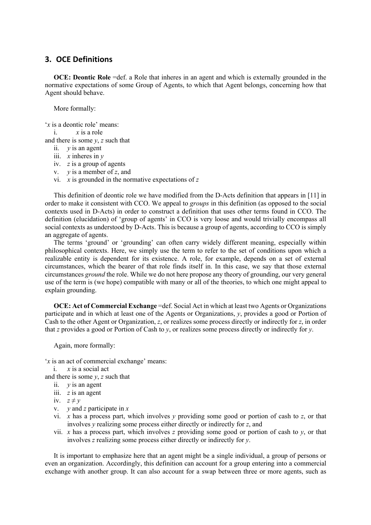# **3. OCE Definitions**

**OCE: Deontic Role** =def. a Role that inheres in an agent and which is externally grounded in the normative expectations of some Group of Agents, to which that Agent belongs, concerning how that Agent should behave.

More formally:

'*x* is a deontic role' means:

i. *x* is a role

and there is some *y*, *z* such that

- ii. *y* is an agent
- iii.  $x$  inheres in  $y$
- iv. *z* is a group of agents
- v. *y* is a member of *z*, and
- vi. *x* is grounded in the normative expectations of *z*

This definition of deontic role we have modified from the D-Acts definition that appears in [11] in order to make it consistent with CCO. We appeal to *groups* in this definition (as opposed to the social contexts used in D-Acts) in order to construct a definition that uses other terms found in CCO. The definition (elucidation) of 'group of agents' in CCO is very loose and would trivially encompass all social contexts as understood by D-Acts. This is because a group of agents, according to CCO is simply an aggregate of agents.

The terms 'ground' or 'grounding' can often carry widely different meaning, especially within philosophical contexts. Here, we simply use the term to refer to the set of conditions upon which a realizable entity is dependent for its existence. A role, for example, depends on a set of external circumstances, which the bearer of that role finds itself in. In this case, we say that those external circumstances *ground* the role. While we do not here propose any theory of grounding, our very general use of the term is (we hope) compatible with many or all of the theories, to which one might appeal to explain grounding.

**OCE: Act of Commercial Exchange** =def. Social Act in which at least two Agents or Organizations participate and in which at least one of the Agents or Organizations, *y*, provides a good or Portion of Cash to the other Agent or Organization, *z*, or realizes some process directly or indirectly for *z*, in order that *z* provides a good or Portion of Cash to *y*, or realizes some process directly or indirectly for *y*.

Again, more formally:

'*x* is an act of commercial exchange' means:

i. *x* is a social act

and there is some *y*, *z* such that

- ii. *y* is an agent
- iii. *z* is an agent
- iv.  $z \neq y$
- v. *y* and *z* participate in *x*
- vi. *x* has a process part, which involves *y* providing some good or portion of cash to *z*, or that involves *y* realizing some process either directly or indirectly for *z*, and
- vii. *x* has a process part, which involves *z* providing some good or portion of cash to  $\gamma$ , or that involves *z* realizing some process either directly or indirectly for *y*.

It is important to emphasize here that an agent might be a single individual, a group of persons or even an organization. Accordingly, this definition can account for a group entering into a commercial exchange with another group. It can also account for a swap between three or more agents, such as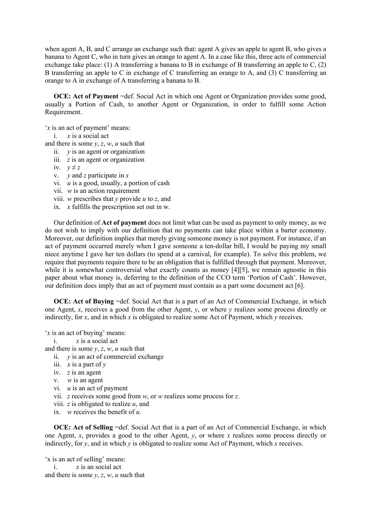when agent A, B, and C arrange an exchange such that: agent A gives an apple to agent B, who gives a banana to Agent C, who in turn gives an orange to agent A. In a case like this, three acts of commercial exchange take place: (1) A transferring a banana to B in exchange of B transferring an apple to C, (2) B transferring an apple to C in exchange of C transferring an orange to A, and (3) C transferring an orange to A in exchange of A transferring a banana to B.

**OCE: Act of Payment** =def. Social Act in which one Agent or Organization provides some good, usually a Portion of Cash, to another Agent or Organization, in order to fulfill some Action Requirement.

'*x* is an act of payment' means:

i. *x* is a social act

and there is some  $y$ ,  $z$ ,  $w$ ,  $u$  such that

- ii. *y* is an agent or organization
- iii. *z* is an agent or organization
- iv.  $y \neq z$
- v. *y* and *z* participate in *x*
- vi. *u* is a good, usually, a portion of cash
- vii. *w* is an action requirement
- viii. *w* prescribes that *y* provide *u* to *z*, and
- ix. *x* fulfills the prescription set out in w.

Our definition of **Act of payment** does not limit what can be used as payment to only money, as we do not wish to imply with our definition that no payments can take place within a barter economy. Moreover, our definition implies that merely giving someone money is not payment. For instance, if an act of payment occurred merely when I gave someone a ten-dollar bill, I would be paying my small niece anytime I gave her ten dollars (to spend at a carnival, for example). To solve this problem, we require that payments require there to be an obligation that is fulfilled through that payment. Moreover, while it is somewhat controversial what exactly counts as money [4][5], we remain agnostic in this paper about what money is, deferring to the definition of the CCO term 'Portion of Cash'. However, our definition does imply that an act of payment must contain as a part some document act [6].

**OCE: Act of Buying** =def. Social Act that is a part of an Act of Commercial Exchange, in which one Agent, *x*, receives a good from the other Agent, *y*, or where *y* realizes some process directly or indirectly, for *x*, and in which *x* is obligated to realize some Act of Payment, which  $\hat{y}$  receives.

'*x* is an act of buying' means:

i. *x* is a social act

and there is some *y*, *z*, *w*, *u* such that

- ii. *y* is an act of commercial exchange
- iii. *x* is a part of *y*
- iv. *z* is an agent
- v. *w* is an agent
- vi. *u* is an act of payment
- vii. *z* receives some good from *w*, or *w* realizes some process for *z*.
- viii. *z* is obligated to realize *u*, and
- ix. *w* receives the benefit of *u.*

**OCE:** Act of Selling =def. Social Act that is a part of an Act of Commercial Exchange, in which one Agent, *x*, provides a good to the other Agent, *y*, or where *x* realizes some process directly or indirectly, for *y*, and in which *y* is obligated to realize some Act of Payment, which *x* receives.

'x is an act of selling' means: i.  $x$  is an social act and there is some  $y$ ,  $z$ ,  $w$ ,  $u$  such that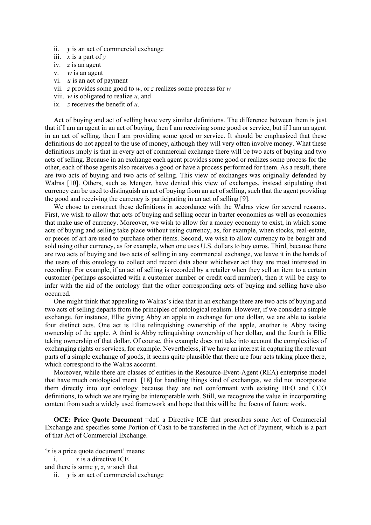- ii. *y* is an act of commercial exchange
- iii.  $x$  is a part of  $y$
- iv. *z* is an agent
- v. *w* is an agent
- vi. *u* is an act of payment
- vii. *z* provides some good to *w*, or *z* realizes some process for *w*
- viii. *w* is obligated to realize *u*, and
- ix. *z* receives the benefit of *u*.

Act of buying and act of selling have very similar definitions. The difference between them is just that if I am an agent in an act of buying, then I am receiving some good or service, but if I am an agent in an act of selling, then I am providing some good or service. It should be emphasized that these definitions do not appeal to the use of money, although they will very often involve money. What these definitions imply is that in every act of commercial exchange there will be two acts of buying and two acts of selling. Because in an exchange each agent provides some good or realizes some process for the other, each of those agents also receives a good or have a process performed for them. As a result, there are two acts of buying and two acts of selling. This view of exchanges was originally defended by Walras [10]. Others, such as Menger, have denied this view of exchanges, instead stipulating that currency can be used to distinguish an act of buying from an act of selling, such that the agent providing the good and receiving the currency is participating in an act of selling [9].

We chose to construct these definitions in accordance with the Walras view for several reasons. First, we wish to allow that acts of buying and selling occur in barter economies as well as economies that make use of currency. Moreover, we wish to allow for a money economy to exist, in which some acts of buying and selling take place without using currency, as, for example, when stocks, real-estate, or pieces of art are used to purchase other items. Second, we wish to allow currency to be bought and sold using other currency, as for example, when one uses U.S. dollars to buy euros. Third, because there are two acts of buying and two acts of selling in any commercial exchange, we leave it in the hands of the users of this ontology to collect and record data about whichever act they are most interested in recording. For example, if an act of selling is recorded by a retailer when they sell an item to a certain customer (perhaps associated with a customer number or credit card number), then it will be easy to infer with the aid of the ontology that the other corresponding acts of buying and selling have also occurred.

One might think that appealing to Walras's idea that in an exchange there are two acts of buying and two acts of selling departs from the principles of ontological realism. However, if we consider a simple exchange, for instance, Ellie giving Abby an apple in exchange for one dollar, we are able to isolate four distinct acts. One act is Ellie relinquishing ownership of the apple, another is Abby taking ownership of the apple. A third is Abby relinquishing ownership of her dollar, and the fourth is Ellie taking ownership of that dollar. Of course, this example does not take into account the complexities of exchanging rights or services, for example. Nevertheless, if we have an interest in capturing the relevant parts of a simple exchange of goods, it seems quite plausible that there are four acts taking place there, which correspond to the Walras account.

Moreover, while there are classes of entities in the Resource-Event-Agent (REA) enterprise model that have much ontological merit [18] for handling things kind of exchanges, we did not incorporate them directly into our ontology because they are not conformant with existing BFO and CCO definitions, to which we are trying be interoperable with. Still, we recognize the value in incorporating content from such a widely used framework and hope that this will be the focus of future work.

**OCE: Price Quote Document** =def. a Directive ICE that prescribes some Act of Commercial Exchange and specifies some Portion of Cash to be transferred in the Act of Payment, which is a part of that Act of Commercial Exchange.

- '*x* is a price quote document' means:
	- i. *x* is a directive ICE
- and there is some  $v$ ,  $z$ ,  $w$  such that
	- ii. *y* is an act of commercial exchange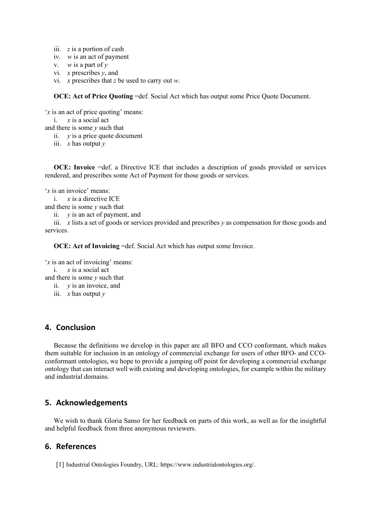- iii. *z* is a portion of cash
- iv. *w* is an act of payment
- v. *w* is a part of *y*
- vi. *x* prescribes *y*, and
- vi. *x* prescribes that *z* be used to carry out *w*.

**OCE: Act of Price Quoting** =def. Social Act which has output some Price Quote Document.

'*x* is an act of price quoting' means:

```
i. x is a social act
```
and there is some *y* such that

ii. *y* is a price quote document

iii. *x* has output *y*

**OCE: Invoice** =def. a Directive ICE that includes a description of goods provided or services rendered, and prescribes some Act of Payment for those goods or services.

'*x* is an invoice' means:

i. *x* is a directive ICE

and there is some *y* such that

ii. *y* is an act of payment, and

iii. *x* lists a set of goods or services provided and prescribes  $\gamma$  as compensation for those goods and services.

**OCE: Act of Invoicing** =def. Social Act which has output some Invoice.

```
'x is an act of invoicing' means:
i. x is a social act
```
and there is some *y* such that

ii. *y* is an invoice, and

iii. *x* has output *y*

### **4. Conclusion**

Because the definitions we develop in this paper are all BFO and CCO conformant, which makes them suitable for inclusion in an ontology of commercial exchange for users of other BFO- and CCOconformant ontologies, we hope to provide a jumping off point for developing a commercial exchange ontology that can interact well with existing and developing ontologies, for example within the military and industrial domains.

## **5. Acknowledgements**

We wish to thank Gloria Sanso for her feedback on parts of this work, as well as for the insightful and helpful feedback from three anonymous reviewers.

# **6. References**

[1] Industrial Ontologies Foundry, URL: https://www.industrialontologies.org/.